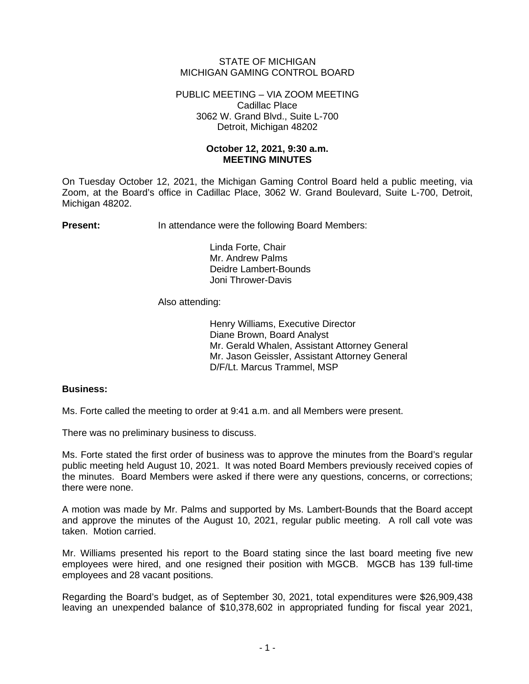## STATE OF MICHIGAN MICHIGAN GAMING CONTROL BOARD

PUBLIC MEETING – VIA ZOOM MEETING Cadillac Place 3062 W. Grand Blvd., Suite L-700 Detroit, Michigan 48202

## **October 12, 2021, 9:30 a.m. MEETING MINUTES**

On Tuesday October 12, 2021, the Michigan Gaming Control Board held a public meeting, via Zoom, at the Board's office in Cadillac Place, 3062 W. Grand Boulevard, Suite L-700, Detroit, Michigan 48202.

**Present:** In attendance were the following Board Members:

Linda Forte, Chair Mr. Andrew Palms Deidre Lambert-Bounds Joni Thrower-Davis

## Also attending:

Henry Williams, Executive Director Diane Brown, Board Analyst Mr. Gerald Whalen, Assistant Attorney General Mr. Jason Geissler, Assistant Attorney General D/F/Lt. Marcus Trammel, MSP

## **Business:**

Ms. Forte called the meeting to order at 9:41 a.m. and all Members were present.

There was no preliminary business to discuss.

Ms. Forte stated the first order of business was to approve the minutes from the Board's regular public meeting held August 10, 2021. It was noted Board Members previously received copies of the minutes. Board Members were asked if there were any questions, concerns, or corrections; there were none.

A motion was made by Mr. Palms and supported by Ms. Lambert-Bounds that the Board accept and approve the minutes of the August 10, 2021, regular public meeting. A roll call vote was taken. Motion carried.

Mr. Williams presented his report to the Board stating since the last board meeting five new employees were hired, and one resigned their position with MGCB. MGCB has 139 full-time employees and 28 vacant positions.

Regarding the Board's budget, as of September 30, 2021, total expenditures were \$26,909,438 leaving an unexpended balance of \$10,378,602 in appropriated funding for fiscal year 2021,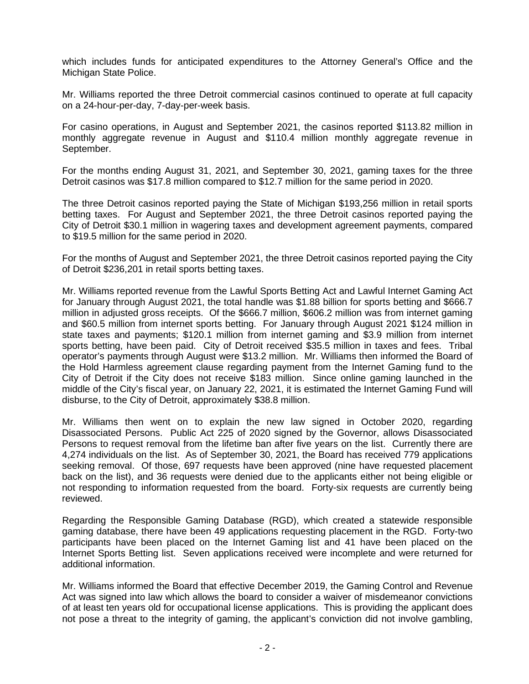which includes funds for anticipated expenditures to the Attorney General's Office and the Michigan State Police.

Mr. Williams reported the three Detroit commercial casinos continued to operate at full capacity on a 24-hour-per-day, 7-day-per-week basis.

For casino operations, in August and September 2021, the casinos reported \$113.82 million in monthly aggregate revenue in August and \$110.4 million monthly aggregate revenue in September.

For the months ending August 31, 2021, and September 30, 2021, gaming taxes for the three Detroit casinos was \$17.8 million compared to \$12.7 million for the same period in 2020.

The three Detroit casinos reported paying the State of Michigan \$193,256 million in retail sports betting taxes. For August and September 2021, the three Detroit casinos reported paying the City of Detroit \$30.1 million in wagering taxes and development agreement payments, compared to \$19.5 million for the same period in 2020.

For the months of August and September 2021, the three Detroit casinos reported paying the City of Detroit \$236,201 in retail sports betting taxes.

Mr. Williams reported revenue from the Lawful Sports Betting Act and Lawful Internet Gaming Act for January through August 2021, the total handle was \$1.88 billion for sports betting and \$666.7 million in adjusted gross receipts. Of the \$666.7 million, \$606.2 million was from internet gaming and \$60.5 million from internet sports betting. For January through August 2021 \$124 million in state taxes and payments; \$120.1 million from internet gaming and \$3.9 million from internet sports betting, have been paid. City of Detroit received \$35.5 million in taxes and fees. Tribal operator's payments through August were \$13.2 million. Mr. Williams then informed the Board of the Hold Harmless agreement clause regarding payment from the Internet Gaming fund to the City of Detroit if the City does not receive \$183 million. Since online gaming launched in the middle of the City's fiscal year, on January 22, 2021, it is estimated the Internet Gaming Fund will disburse, to the City of Detroit, approximately \$38.8 million.

Mr. Williams then went on to explain the new law signed in October 2020, regarding Disassociated Persons. Public Act 225 of 2020 signed by the Governor, allows Disassociated Persons to request removal from the lifetime ban after five years on the list. Currently there are 4,274 individuals on the list. As of September 30, 2021, the Board has received 779 applications seeking removal. Of those, 697 requests have been approved (nine have requested placement back on the list), and 36 requests were denied due to the applicants either not being eligible or not responding to information requested from the board. Forty-six requests are currently being reviewed.

Regarding the Responsible Gaming Database (RGD), which created a statewide responsible gaming database, there have been 49 applications requesting placement in the RGD. Forty-two participants have been placed on the Internet Gaming list and 41 have been placed on the Internet Sports Betting list. Seven applications received were incomplete and were returned for additional information.

Mr. Williams informed the Board that effective December 2019, the Gaming Control and Revenue Act was signed into law which allows the board to consider a waiver of misdemeanor convictions of at least ten years old for occupational license applications. This is providing the applicant does not pose a threat to the integrity of gaming, the applicant's conviction did not involve gambling,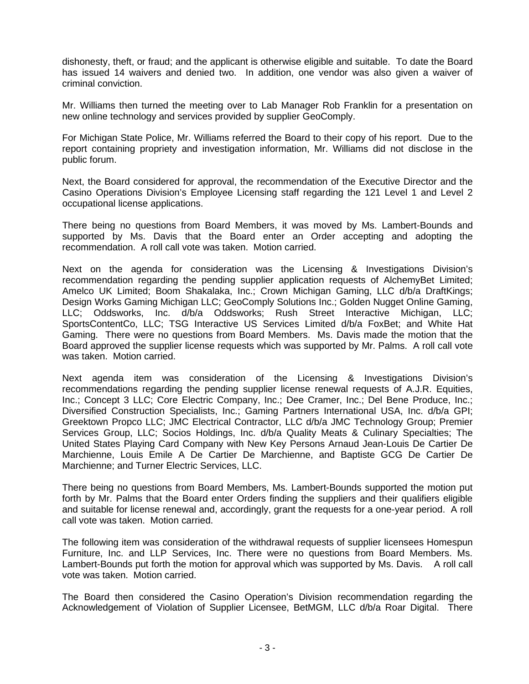dishonesty, theft, or fraud; and the applicant is otherwise eligible and suitable. To date the Board has issued 14 waivers and denied two. In addition, one vendor was also given a waiver of criminal conviction.

Mr. Williams then turned the meeting over to Lab Manager Rob Franklin for a presentation on new online technology and services provided by supplier GeoComply.

For Michigan State Police, Mr. Williams referred the Board to their copy of his report. Due to the report containing propriety and investigation information, Mr. Williams did not disclose in the public forum.

Next, the Board considered for approval, the recommendation of the Executive Director and the Casino Operations Division's Employee Licensing staff regarding the 121 Level 1 and Level 2 occupational license applications.

There being no questions from Board Members, it was moved by Ms. Lambert-Bounds and supported by Ms. Davis that the Board enter an Order accepting and adopting the recommendation. A roll call vote was taken. Motion carried.

Next on the agenda for consideration was the Licensing & Investigations Division's recommendation regarding the pending supplier application requests of AlchemyBet Limited; Amelco UK Limited; Boom Shakalaka, Inc.; Crown Michigan Gaming, LLC d/b/a DraftKings; Design Works Gaming Michigan LLC; GeoComply Solutions Inc.; Golden Nugget Online Gaming, LLC; Oddsworks, Inc. d/b/a Oddsworks; Rush Street Interactive Michigan, LLC; SportsContentCo, LLC; TSG Interactive US Services Limited d/b/a FoxBet; and White Hat Gaming. There were no questions from Board Members. Ms. Davis made the motion that the Board approved the supplier license requests which was supported by Mr. Palms. A roll call vote was taken. Motion carried.

Next agenda item was consideration of the Licensing & Investigations Division's recommendations regarding the pending supplier license renewal requests of A.J.R. Equities, Inc.; Concept 3 LLC; Core Electric Company, Inc.; Dee Cramer, Inc.; Del Bene Produce, Inc.; Diversified Construction Specialists, Inc.; Gaming Partners International USA, Inc. d/b/a GPI; Greektown Propco LLC; JMC Electrical Contractor, LLC d/b/a JMC Technology Group; Premier Services Group, LLC; Socios Holdings, Inc. d/b/a Quality Meats & Culinary Specialties; The United States Playing Card Company with New Key Persons Arnaud Jean-Louis De Cartier De Marchienne, Louis Emile A De Cartier De Marchienne, and Baptiste GCG De Cartier De Marchienne; and Turner Electric Services, LLC.

There being no questions from Board Members, Ms. Lambert-Bounds supported the motion put forth by Mr. Palms that the Board enter Orders finding the suppliers and their qualifiers eligible and suitable for license renewal and, accordingly, grant the requests for a one-year period. A roll call vote was taken. Motion carried.

The following item was consideration of the withdrawal requests of supplier licensees Homespun Furniture, Inc. and LLP Services, Inc. There were no questions from Board Members. Ms. Lambert-Bounds put forth the motion for approval which was supported by Ms. Davis. A roll call vote was taken. Motion carried.

The Board then considered the Casino Operation's Division recommendation regarding the Acknowledgement of Violation of Supplier Licensee, BetMGM, LLC d/b/a Roar Digital. There